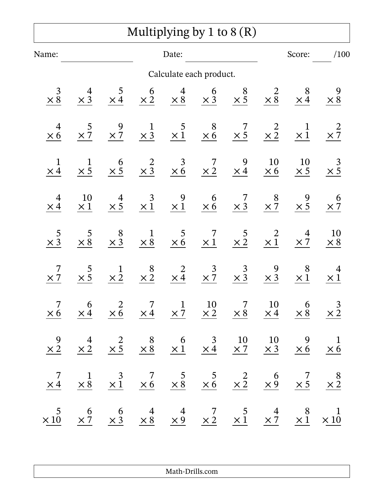## Multiplying by 1 to 8 (R)

| Name:                                        |                      | Date:                                                                                                                                                                                                           |                      |                            |                         |                                                                                                                                                                                                                     |                      | Score:                                | /100                                           |  |
|----------------------------------------------|----------------------|-----------------------------------------------------------------------------------------------------------------------------------------------------------------------------------------------------------------|----------------------|----------------------------|-------------------------|---------------------------------------------------------------------------------------------------------------------------------------------------------------------------------------------------------------------|----------------------|---------------------------------------|------------------------------------------------|--|
|                                              |                      |                                                                                                                                                                                                                 |                      |                            | Calculate each product. |                                                                                                                                                                                                                     |                      |                                       |                                                |  |
| $\begin{array}{r} 3 \\ \times 8 \end{array}$ | $\frac{4}{\times 3}$ | $\frac{5}{\times 4}$                                                                                                                                                                                            | $\frac{6}{\times 2}$ | $\frac{4}{\times 8}$       | $\frac{6}{\times 3}$    | $\frac{8}{\times 5}$                                                                                                                                                                                                | $\times \frac{2}{8}$ | $\frac{8}{\times 4}$                  | $\times 8$                                     |  |
| $\overline{4}$<br>$\times 6$                 | $\frac{5}{\times 7}$ | $\frac{9}{2}$                                                                                                                                                                                                   | $\frac{1}{\times 3}$ | $\times\frac{5}{1}$        | $\frac{8}{\times 6}$    | 7<br>$\times 5$                                                                                                                                                                                                     | $\times\frac{2}{2}$  | $\mathbf{1}$<br>$\times \overline{1}$ | $\times \frac{2}{7}$                           |  |
| $\mathbf 1$<br>$\times 4$                    | $\frac{1}{\times 5}$ | $\begin{array}{c} 6 \\ \times 5 \end{array}$                                                                                                                                                                    | $\frac{2}{\times 3}$ | $\frac{3}{\times 6}$       | $\frac{7}{\times 2}$    | 9<br>$\times$ 4                                                                                                                                                                                                     | 10<br>$\times\,6$    | 10<br>$\times$ 5                      | $\frac{3}{2}$                                  |  |
| 4<br>$\times 4$                              | 10<br>$\times\,1$    | $\frac{4}{\times}$ 5                                                                                                                                                                                            | $\frac{3}{\times 1}$ | $\frac{9}{\times 1}$       | $6 \times 6$            | $\frac{7}{\times 3}$                                                                                                                                                                                                | $\frac{8}{\times 7}$ | $\frac{9}{\times 5}$                  | $\boldsymbol{\theta}$<br>$\times \overline{7}$ |  |
| $\begin{array}{c} 5 \\ \times 3 \end{array}$ | 5<br>$\times 8$      | $\begin{array}{c} 8 \\ \times 3 \end{array}$                                                                                                                                                                    | $\frac{1}{\times 8}$ | $rac{5}{\times 6}$         | $\frac{7}{1}$           | $\frac{5}{\times 2}$                                                                                                                                                                                                | $\times \frac{2}{1}$ | 4<br>$\times 7$                       | 10<br>$\times 8$                               |  |
| 7<br>$\times 7$                              | $\times$ 5           | $\frac{1}{\times 2}$                                                                                                                                                                                            | $\frac{8}{\times 2}$ | $\frac{2}{\times 4}$       | $\frac{3}{\times 7}$    | $\frac{3}{\times 3}$                                                                                                                                                                                                | $\frac{9}{\times 3}$ | 8<br>$\times$ 1                       | 4<br>$\times 1$                                |  |
| 7<br>$\times 6$                              | 6<br>$\times 4$      | $\frac{2}{\times 6}$                                                                                                                                                                                            | 7<br>$\times$ 4      | $\mathbf{1}$<br>$\times$ 7 | 10<br>$\times 2$        | 7<br>$\times 8$                                                                                                                                                                                                     | 10<br>$\times$ 4     | 6<br>$\times$ 8                       | $\frac{3}{\times 2}$                           |  |
|                                              |                      |                                                                                                                                                                                                                 |                      |                            |                         | $\begin{array}{ccccccccc}\n9 & 4 & 2 & 8 & 6 & 3 & 10 & 10 & 9 & 1 \\ \times & 2 & \times & 2 & \times & 5 & \times & 8 & \times & 1 & \times & 4 & \times & 7 & \times & 3 & \times & 6 & \times & 6\n\end{array}$ |                      |                                       |                                                |  |
|                                              |                      |                                                                                                                                                                                                                 |                      |                            |                         | $\begin{array}{ccccccccc}\n7 & 1 & 3 & 7 & 5 & 5 & 2 & 6 & 7 & 8 \\ \times 4 & \times 8 & \times 1 & \times 6 & \times 8 & \times 6 & \times 2 & \times 9 & \times 5 & \times 2\n\end{array}$                       |                      |                                       |                                                |  |
|                                              |                      | $\begin{array}{ccccccccc} &5 & &6 & &6 & &4 & &4 & &7 & &5 & &4 & &8 & &1\\ \times 10 & &\times 7 & &\times 3 & &\times 8 & &\times 9 & &\times 2 & &\times 1 & &\times 7 & &\times 1 & &\times 10 \end{array}$ |                      |                            |                         |                                                                                                                                                                                                                     |                      |                                       |                                                |  |

Math-Drills.com